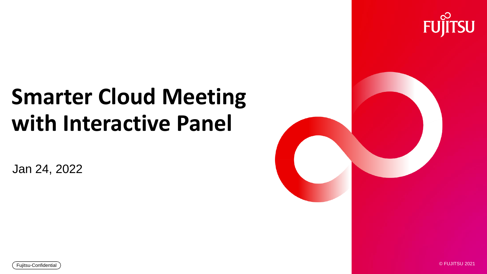## **Smarter Cloud Meeting with Interactive Panel**

Jan 24, 2022





 $\frac{1}{2}$ 

 $\overline{\mathsf{F}}$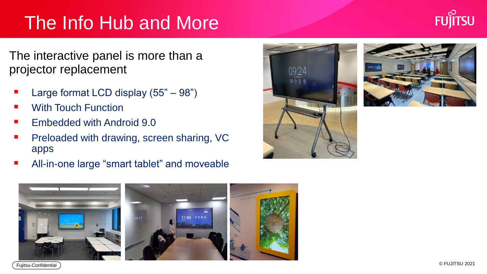## The Info Hub and More

The interactive panel is more than a projector replacement

- Large format LCD display  $(55" 98")$
- **With Touch Function**
- **Embedded with Android 9.0**
- Preloaded with drawing, screen sharing, VC apps
- All-in-one large "smart tablet" and moveable







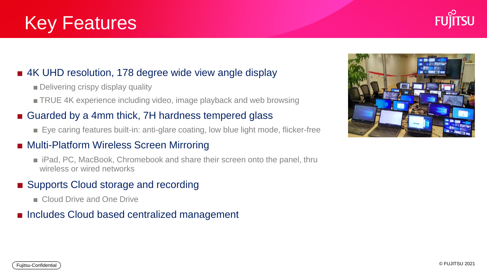### Key Features

#### ■ 4K UHD resolution, 178 degree wide view angle display

- Delivering crispy display quality
- TRUE 4K experience including video, image playback and web browsing

#### ■ Guarded by a 4mm thick, 7H hardness tempered glass

■ Eye caring features built-in: anti-glare coating, low blue light mode, flicker-free

#### ■ Multi-Platform Wireless Screen Mirroring

■ iPad, PC, MacBook, Chromebook and share their screen onto the panel, thru wireless or wired networks

#### ■ Supports Cloud storage and recording

- Cloud Drive and One Drive
- Includes Cloud based centralized management



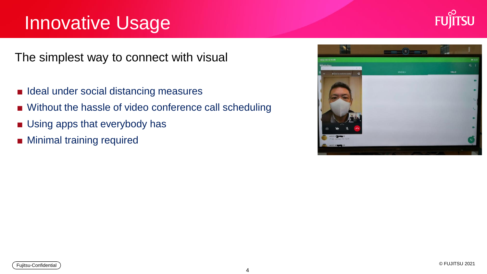### Innovative Usage



The simplest way to connect with visual

- Ideal under social distancing measures
- Without the hassle of video conference call scheduling
- Using apps that everybody has
- Minimal training required

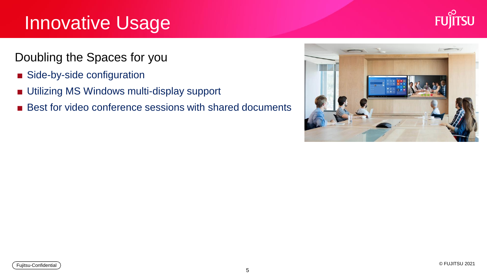### Innovative Usage



Doubling the Spaces for you

- Side-by-side configuration
- Utilizing MS Windows multi-display support
- Best for video conference sessions with shared documents

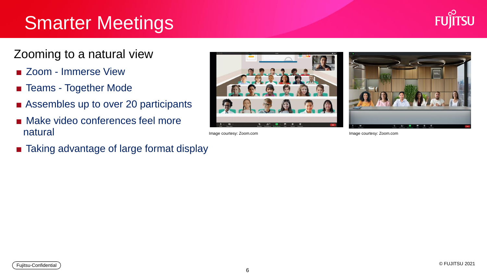### **Smarter Meetings**



### Zooming to a natural view

- Zoom Immerse View
- Teams Together Mode
- Assembles up to over 20 participants
- Make video conferences feel more natural
- Taking advantage of large format display



Image courtesy: Zoom.com **Image courtesy: Zoom.com** Image courtesy: Zoom.com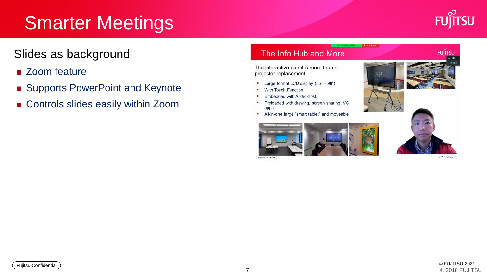### **Smarter Meetings**



**FUILTSU** 

### Slides as background

- Zoom feature
- Supports PowerPoint and Keynote
- Controls slides easily within Zoom

#### The Info Hub and More

The interactive panel is more than a projector replacement

- Large format LCD display (55" 98") ٠
- **With Touch Function** ٠
- Embedded with Android 9.0
- Preloaded with drawing, screen sharing, VC apps
- All-in-one large "smart tablet" and moveable ٠



Fujitsu-Confidential



**B** Stop Share

O FLUITSU 2021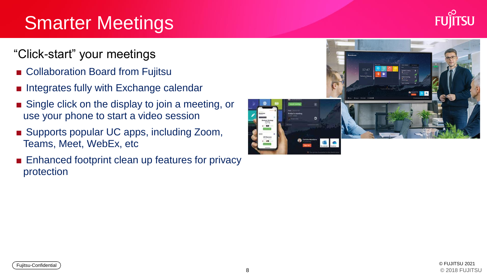### Smarter Meetings

### "Click-start" your meetings

- Collaboration Board from Fujitsu
- Integrates fully with Exchange calendar
- Single click on the display to join a meeting, or use your phone to start a video session
- Supports popular UC apps, including Zoom, Teams, Meet, WebEx, etc
- Enhanced footprint clean up features for privacy protection

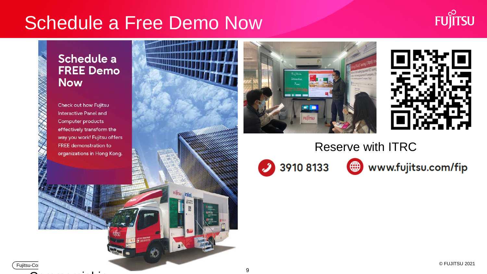### Schedule a Free Demo Now

**Ruffrsu intel** 



#### Schedule a **FREE Demo Now**

Check out how Fujitsu Interactive Panel and Computer products effectively transform the way you work! Fujitsu offers FREE demonstration to organizations in Hong Kong.





### Reserve with ITRC

3910 8133

www.fujitsu.com/fip